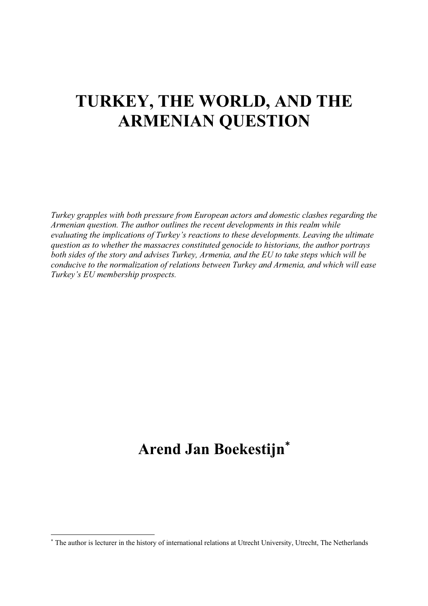# **TURKEY, THE WORLD, AND THE ARMENIAN QUESTION**

*Turkey grapples with both pressure from European actors and domestic clashes regarding the Armenian question. The author outlines the recent developments in this realm while evaluating the implications of Turkey's reactions to these developments. Leaving the ultimate question as to whether the massacres constituted genocide to historians, the author portrays both sides of the story and advises Turkey, Armenia, and the EU to take steps which will be conducive to the normalization of relations between Turkey and Armenia, and which will ease Turkey's EU membership prospects.* 

# **Arend Jan Boekestijn**

 The author is lecturer in the history of international relations at Utrecht University, Utrecht, The Netherlands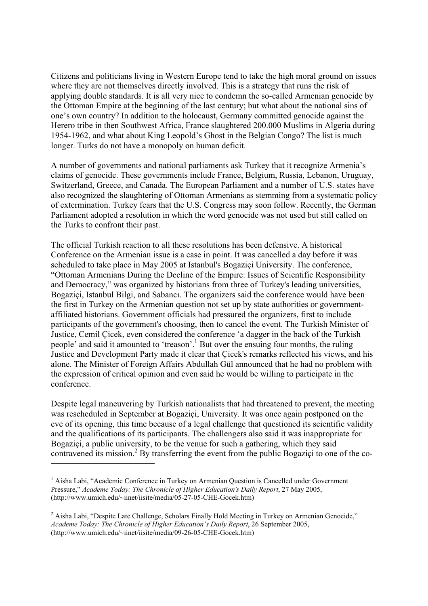Citizens and politicians living in Western Europe tend to take the high moral ground on issues where they are not themselves directly involved. This is a strategy that runs the risk of applying double standards. It is all very nice to condemn the so-called Armenian genocide by the Ottoman Empire at the beginning of the last century; but what about the national sins of one's own country? In addition to the holocaust, Germany committed genocide against the Herero tribe in then Southwest Africa, France slaughtered 200.000 Muslims in Algeria during 1954-1962, and what about King Leopold's Ghost in the Belgian Congo? The list is much longer. Turks do not have a monopoly on human deficit.

A number of governments and national parliaments ask Turkey that it recognize Armenia's claims of genocide. These governments include France, Belgium, Russia, Lebanon, Uruguay, Switzerland, Greece, and Canada. The European Parliament and a number of U.S. states have also recognized the slaughtering of Ottoman Armenians as stemming from a systematic policy of extermination. Turkey fears that the U.S. Congress may soon follow. Recently, the German Parliament adopted a resolution in which the word genocide was not used but still called on the Turks to confront their past.

The official Turkish reaction to all these resolutions has been defensive. A historical Conference on the Armenian issue is a case in point. It was cancelled a day before it was scheduled to take place in May 2005 at Istanbul's Bogaziçi University. The conference, "Ottoman Armenians During the Decline of the Empire: Issues of Scientific Responsibility and Democracy," was organized by historians from three of Turkey's leading universities, Bogaziçi, Istanbul Bilgi, and Sabancı. The organizers said the conference would have been the first in Turkey on the Armenian question not set up by state authorities or governmentaffiliated historians. Government officials had pressured the organizers, first to include participants of the government's choosing, then to cancel the event. The Turkish Minister of Justice, Cemil Çicek, even considered the conference 'a dagger in the back of the Turkish people' and said it amounted to 'treason'.<sup>1</sup> But over the ensuing four months, the ruling Justice and Development Party made it clear that Çicek's remarks reflected his views, and his alone. The Minister of Foreign Affairs Abdullah Gül announced that he had no problem with the expression of critical opinion and even said he would be willing to participate in the conference.

Despite legal maneuvering by Turkish nationalists that had threatened to prevent, the meeting was rescheduled in September at Bogaziçi, University. It was once again postponed on the eve of its opening, this time because of a legal challenge that questioned its scientific validity and the qualifications of its participants. The challengers also said it was inappropriate for Bogaziçi, a public university, to be the venue for such a gathering, which they said contravened its mission.<sup>2</sup> By transferring the event from the public Bogaziçi to one of the co-

<sup>&</sup>lt;sup>1</sup> Aisha Labi, "Academic Conference in Turkey on Armenian Question is Cancelled under Government Pressure," *Academe Today: The Chronicle of Higher Education's Daily Report*, 27 May 2005, (http://www.umich.edu/~iinet/iisite/media/05-27-05-CHE-Gocek.htm)

<sup>&</sup>lt;sup>2</sup> Aisha Labi, "Despite Late Challenge, Scholars Finally Hold Meeting in Turkey on Armenian Genocide," *Academe Today: The Chronicle of Higher Education's Daily Report*, 26 September 2005, (http://www.umich.edu/~iinet/iisite/media/09-26-05-CHE-Gocek.htm)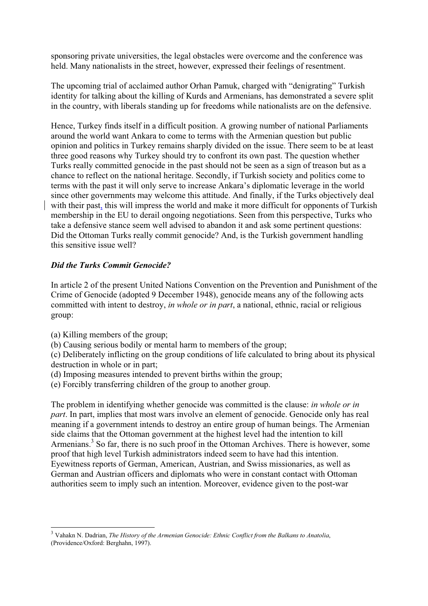sponsoring private universities, the legal obstacles were overcome and the conference was held. Many nationalists in the street, however, expressed their feelings of resentment.

The upcoming trial of acclaimed author Orhan Pamuk, charged with "denigrating" Turkish identity for talking about the killing of Kurds and Armenians, has demonstrated a severe split in the country, with liberals standing up for freedoms while nationalists are on the defensive.

Hence, Turkey finds itself in a difficult position. A growing number of national Parliaments around the world want Ankara to come to terms with the Armenian question but public opinion and politics in Turkey remains sharply divided on the issue. There seem to be at least three good reasons why Turkey should try to confront its own past. The question whether Turks really committed genocide in the past should not be seen as a sign of treason but as a chance to reflect on the national heritage. Secondly, if Turkish society and politics come to terms with the past it will only serve to increase Ankara's diplomatic leverage in the world since other governments may welcome this attitude. And finally, if the Turks objectively deal with their past, this will impress the world and make it more difficult for opponents of Turkish membership in the EU to derail ongoing negotiations. Seen from this perspective, Turks who take a defensive stance seem well advised to abandon it and ask some pertinent questions: Did the Ottoman Turks really commit genocide? And, is the Turkish government handling this sensitive issue well?

# *Did the Turks Commit Genocide?*

In article 2 of the present United Nations Convention on the Prevention and Punishment of the Crime of Genocide (adopted 9 December 1948), genocide means any of the following acts committed with intent to destroy, *in whole or in part*, a national, ethnic, racial or religious group:

(a) Killing members of the group;

-

(b) Causing serious bodily or mental harm to members of the group;

(c) Deliberately inflicting on the group conditions of life calculated to bring about its physical destruction in whole or in part;

- (d) Imposing measures intended to prevent births within the group;
- (e) Forcibly transferring children of the group to another group.

The problem in identifying whether genocide was committed is the clause: *in whole or in part*. In part, implies that most wars involve an element of genocide. Genocide only has real meaning if a government intends to destroy an entire group of human beings. The Armenian side claims that the Ottoman government at the highest level had the intention to kill Armenians.<sup>3</sup> So far, there is no such proof in the Ottoman Archives. There is however, some proof that high level Turkish administrators indeed seem to have had this intention. Eyewitness reports of German, American, Austrian, and Swiss missionaries, as well as German and Austrian officers and diplomats who were in constant contact with Ottoman authorities seem to imply such an intention. Moreover, evidence given to the post-war

<sup>3</sup> Vahakn N. Dadrian, *The History of the Armenian Genocide: Ethnic Conflict from the Balkans to Anatolia*, (Providence/Oxford: Berghahn, 1997).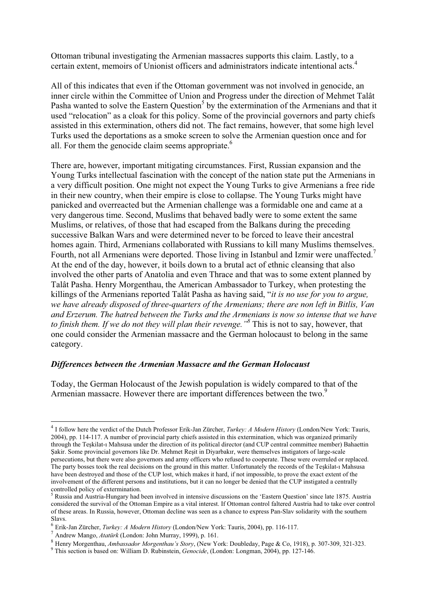Ottoman tribunal investigating the Armenian massacres supports this claim. Lastly, to a certain extent, memoirs of Unionist officers and administrators indicate intentional acts.4

All of this indicates that even if the Ottoman government was not involved in genocide, an inner circle within the Committee of Union and Progress under the direction of Mehmet Talât Pasha wanted to solve the Eastern Question<sup>5</sup> by the extermination of the Armenians and that it used "relocation" as a cloak for this policy. Some of the provincial governors and party chiefs assisted in this extermination, others did not. The fact remains, however, that some high level Turks used the deportations as a smoke screen to solve the Armenian question once and for all. For them the genocide claim seems appropriate. $6$ 

There are, however, important mitigating circumstances. First, Russian expansion and the Young Turks intellectual fascination with the concept of the nation state put the Armenians in a very difficult position. One might not expect the Young Turks to give Armenians a free ride in their new country, when their empire is close to collapse. The Young Turks might have panicked and overreacted but the Armenian challenge was a formidable one and came at a very dangerous time. Second, Muslims that behaved badly were to some extent the same Muslims, or relatives, of those that had escaped from the Balkans during the preceding successive Balkan Wars and were determined never to be forced to leave their ancestral homes again. Third, Armenians collaborated with Russians to kill many Muslims themselves. Fourth, not all Armenians were deported. Those living in Istanbul and Izmir were unaffected.<sup>7</sup> At the end of the day, however, it boils down to a brutal act of ethnic cleansing that also involved the other parts of Anatolia and even Thrace and that was to some extent planned by Talât Pasha. Henry Morgenthau, the American Ambassador to Turkey, when protesting the killings of the Armenians reported Talât Pasha as having said, "*it is no use for you to argue, we have already disposed of three-quarters of the Armenians; there are non left in Bitlis, Van and Erzerum. The hatred between the Turks and the Armenians is now so intense that we have to finish them. If we do not they will plan their revenge."8* This is not to say, however, that one could consider the Armenian massacre and the German holocaust to belong in the same category.

#### *Differences between the Armenian Massacre and the German Holocaust*

Today, the German Holocaust of the Jewish population is widely compared to that of the Armenian massacre. However there are important differences between the two.<sup>9</sup>

<sup>4</sup> I follow here the verdict of the Dutch Professor Erik-Jan Zürcher, *Turkey: A Modern History* (London/New York: Tauris, 2004), pp. 114-117. A number of provincial party chiefs assisted in this extermination, which was organized primarily through the Teskilat-i Mahsusa under the direction of its political director (and CUP central committee member) Bahaettin ùakir. Some provincial governors like Dr. Mehmet Reúit in Diyarbakır, were themselves instigators of large-scale persecutions, but there were also governors and army officers who refused to cooperate. These were overruled or replaced. The party bosses took the real decisions on the ground in this matter. Unfortunately the records of the Teskilat-i Mahsusa have been destroyed and those of the CUP lost, which makes it hard, if not impossible, to prove the exact extent of the involvement of the different persons and institutions, but it can no longer be denied that the CUP instigated a centrally controlled policy of extermination.

<sup>&</sup>lt;sup>5</sup> Russia and Austria-Hungary had been involved in intensive discussions on the 'Eastern Question' since late 1875. Austria considered the survival of the Ottoman Empire as a vital interest. If Ottoman control faltered Austria had to take over control of these areas. In Russia, however, Ottoman decline was seen as a chance to express Pan-Slav solidarity with the southern

Slavs.<br><sup>6</sup> Erik-Jan Zürcher, *Turkey: A Modern History* (London/New York: Tauris, 2004), pp. 116-117.

<sup>&</sup>lt;sup>7</sup> Andrew Mango, *Atatürk* (London: John Murray, 1999), p. 161.<br><sup>8</sup> Henry Morgenthau, *Ambassador Morgenthau's Story*, (New York: Doubleday, Page & Co, 1918), p. 307-309, 321-323.

This section is based on: William D. Rubinstein, *Genocide*, (London: Longman, 2004), pp. 127-146.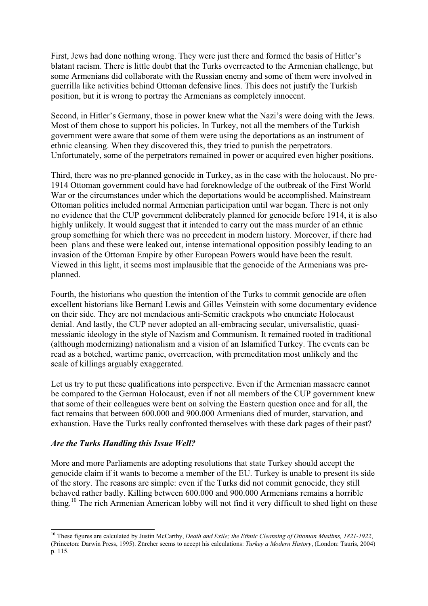First, Jews had done nothing wrong. They were just there and formed the basis of Hitler's blatant racism. There is little doubt that the Turks overreacted to the Armenian challenge, but some Armenians did collaborate with the Russian enemy and some of them were involved in guerrilla like activities behind Ottoman defensive lines. This does not justify the Turkish position, but it is wrong to portray the Armenians as completely innocent.

Second, in Hitler's Germany, those in power knew what the Nazi's were doing with the Jews. Most of them chose to support his policies. In Turkey, not all the members of the Turkish government were aware that some of them were using the deportations as an instrument of ethnic cleansing. When they discovered this, they tried to punish the perpetrators. Unfortunately, some of the perpetrators remained in power or acquired even higher positions.

Third, there was no pre-planned genocide in Turkey, as in the case with the holocaust. No pre-1914 Ottoman government could have had foreknowledge of the outbreak of the First World War or the circumstances under which the deportations would be accomplished. Mainstream Ottoman politics included normal Armenian participation until war began. There is not only no evidence that the CUP government deliberately planned for genocide before 1914, it is also highly unlikely. It would suggest that it intended to carry out the mass murder of an ethnic group something for which there was no precedent in modern history. Moreover, if there had been plans and these were leaked out, intense international opposition possibly leading to an invasion of the Ottoman Empire by other European Powers would have been the result. Viewed in this light, it seems most implausible that the genocide of the Armenians was preplanned.

Fourth, the historians who question the intention of the Turks to commit genocide are often excellent historians like Bernard Lewis and Gilles Veinstein with some documentary evidence on their side. They are not mendacious anti-Semitic crackpots who enunciate Holocaust denial. And lastly, the CUP never adopted an all-embracing secular, universalistic, quasimessianic ideology in the style of Nazism and Communism. It remained rooted in traditional (although modernizing) nationalism and a vision of an Islamified Turkey. The events can be read as a botched, wartime panic, overreaction, with premeditation most unlikely and the scale of killings arguably exaggerated.

Let us try to put these qualifications into perspective. Even if the Armenian massacre cannot be compared to the German Holocaust, even if not all members of the CUP government knew that some of their colleagues were bent on solving the Eastern question once and for all, the fact remains that between 600.000 and 900.000 Armenians died of murder, starvation, and exhaustion. Have the Turks really confronted themselves with these dark pages of their past?

# *Are the Turks Handling this Issue Well?*

More and more Parliaments are adopting resolutions that state Turkey should accept the genocide claim if it wants to become a member of the EU. Turkey is unable to present its side of the story. The reasons are simple: even if the Turks did not commit genocide, they still behaved rather badly. Killing between 600.000 and 900.000 Armenians remains a horrible thing.<sup>10</sup> The rich Armenian American lobby will not find it very difficult to shed light on these

<sup>-</sup><sup>10</sup> These figures are calculated by Justin McCarthy, *Death and Exile; the Ethnic Cleansing of Ottoman Muslims, 1821-1922*, (Princeton: Darwin Press, 1995). Zürcher seems to accept his calculations: *Turkey a Modern History*, (London: Tauris, 2004) p. 115.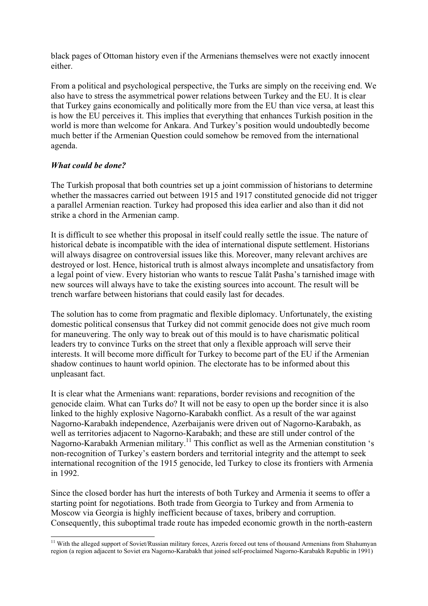black pages of Ottoman history even if the Armenians themselves were not exactly innocent either.

From a political and psychological perspective, the Turks are simply on the receiving end. We also have to stress the asymmetrical power relations between Turkey and the EU. It is clear that Turkey gains economically and politically more from the EU than vice versa, at least this is how the EU perceives it. This implies that everything that enhances Turkish position in the world is more than welcome for Ankara. And Turkey's position would undoubtedly become much better if the Armenian Question could somehow be removed from the international agenda.

# *What could be done?*

The Turkish proposal that both countries set up a joint commission of historians to determine whether the massacres carried out between 1915 and 1917 constituted genocide did not trigger a parallel Armenian reaction. Turkey had proposed this idea earlier and also than it did not strike a chord in the Armenian camp.

It is difficult to see whether this proposal in itself could really settle the issue. The nature of historical debate is incompatible with the idea of international dispute settlement. Historians will always disagree on controversial issues like this. Moreover, many relevant archives are destroyed or lost. Hence, historical truth is almost always incomplete and unsatisfactory from a legal point of view. Every historian who wants to rescue Talât Pasha's tarnished image with new sources will always have to take the existing sources into account. The result will be trench warfare between historians that could easily last for decades.

The solution has to come from pragmatic and flexible diplomacy. Unfortunately, the existing domestic political consensus that Turkey did not commit genocide does not give much room for maneuvering. The only way to break out of this mould is to have charismatic political leaders try to convince Turks on the street that only a flexible approach will serve their interests. It will become more difficult for Turkey to become part of the EU if the Armenian shadow continues to haunt world opinion. The electorate has to be informed about this unpleasant fact.

It is clear what the Armenians want: reparations, border revisions and recognition of the genocide claim. What can Turks do? It will not be easy to open up the border since it is also linked to the highly explosive Nagorno-Karabakh conflict. As a result of the war against Nagorno-Karabakh independence, Azerbaijanis were driven out of Nagorno-Karabakh, as well as territories adjacent to Nagorno-Karabakh; and these are still under control of the Nagorno-Karabakh Armenian military.<sup>11</sup> This conflict as well as the Armenian constitution 's non-recognition of Turkey's eastern borders and territorial integrity and the attempt to seek international recognition of the 1915 genocide, led Turkey to close its frontiers with Armenia in 1992.

Since the closed border has hurt the interests of both Turkey and Armenia it seems to offer a starting point for negotiations. Both trade from Georgia to Turkey and from Armenia to Moscow via Georgia is highly inefficient because of taxes, bribery and corruption. Consequently, this suboptimal trade route has impeded economic growth in the north-eastern

<sup>-</sup><sup>11</sup> With the alleged support of Soviet/Russian military forces, Azeris forced out tens of thousand Armenians from Shahumyan region (a region adjacent to Soviet era Nagorno-Karabakh that joined self-proclaimed Nagorno-Karabakh Republic in 1991)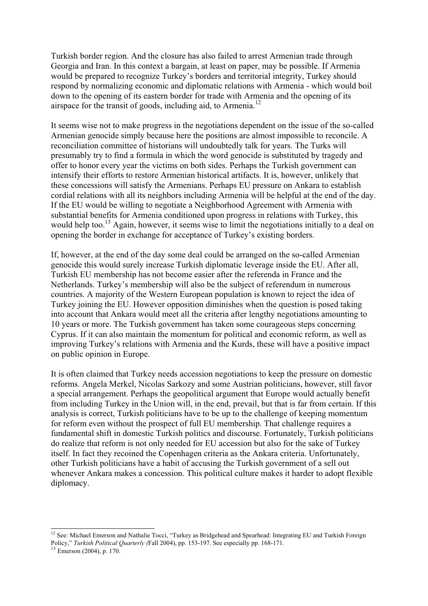Turkish border region. And the closure has also failed to arrest Armenian trade through Georgia and Iran. In this context a bargain, at least on paper, may be possible. If Armenia would be prepared to recognize Turkey's borders and territorial integrity, Turkey should respond by normalizing economic and diplomatic relations with Armenia - which would boil down to the opening of its eastern border for trade with Armenia and the opening of its airspace for the transit of goods, including aid, to Armenia.<sup>12</sup>

It seems wise not to make progress in the negotiations dependent on the issue of the so-called Armenian genocide simply because here the positions are almost impossible to reconcile. A reconciliation committee of historians will undoubtedly talk for years. The Turks will presumably try to find a formula in which the word genocide is substituted by tragedy and offer to honor every year the victims on both sides. Perhaps the Turkish government can intensify their efforts to restore Armenian historical artifacts. It is, however, unlikely that these concessions will satisfy the Armenians. Perhaps EU pressure on Ankara to establish cordial relations with all its neighbors including Armenia will be helpful at the end of the day. If the EU would be willing to negotiate a Neighborhood Agreement with Armenia with substantial benefits for Armenia conditioned upon progress in relations with Turkey, this would help too.<sup>13</sup> Again, however, it seems wise to limit the negotiations initially to a deal on opening the border in exchange for acceptance of Turkey's existing borders.

If, however, at the end of the day some deal could be arranged on the so-called Armenian genocide this would surely increase Turkish diplomatic leverage inside the EU. After all, Turkish EU membership has not become easier after the referenda in France and the Netherlands. Turkey's membership will also be the subject of referendum in numerous countries. A majority of the Western European population is known to reject the idea of Turkey joining the EU. However opposition diminishes when the question is posed taking into account that Ankara would meet all the criteria after lengthy negotiations amounting to 10 years or more. The Turkish government has taken some courageous steps concerning Cyprus. If it can also maintain the momentum for political and economic reform, as well as improving Turkey's relations with Armenia and the Kurds, these will have a positive impact on public opinion in Europe.

It is often claimed that Turkey needs accession negotiations to keep the pressure on domestic reforms. Angela Merkel, Nicolas Sarkozy and some Austrian politicians, however, still favor a special arrangement. Perhaps the geopolitical argument that Europe would actually benefit from including Turkey in the Union will, in the end, prevail, but that is far from certain. If this analysis is correct, Turkish politicians have to be up to the challenge of keeping momentum for reform even without the prospect of full EU membership. That challenge requires a fundamental shift in domestic Turkish politics and discourse. Fortunately, Turkish politicians do realize that reform is not only needed for EU accession but also for the sake of Turkey itself. In fact they recoined the Copenhagen criteria as the Ankara criteria. Unfortunately, other Turkish politicians have a habit of accusing the Turkish government of a sell out whenever Ankara makes a concession. This political culture makes it harder to adopt flexible diplomacy.

<sup>-</sup><sup>12</sup> See: Michael Emerson and Nathalie Tocci, "Turkey as Bridgehead and Spearhead: Integrating EU and Turkish Foreign Policy," *Turkish Political Quarterly (Fall 2004)*, pp. 153-197. See especially pp. 168-171.<br><sup>13</sup> Emerson (2004), p. 170.